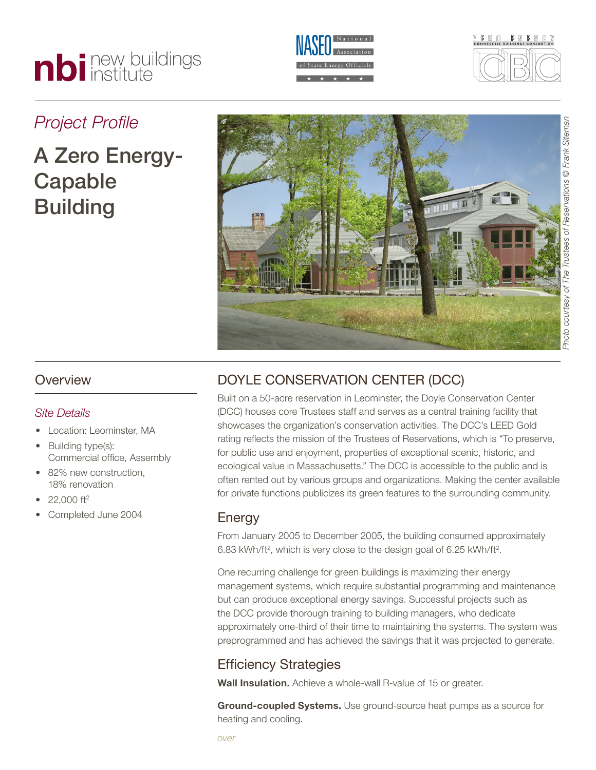# nbi new buildings





# *Project Profile*

# A Zero Energy-Capable **Building**



### **Overview**

#### *Site Details*

- Location: Leominster, MA
- Building type(s): Commercial office, Assembly
- 82% new construction. 18% renovation
- $22,000$  ft<sup>2</sup>
- Completed June 2004

# Doyle Conservation Center (DCC)

Built on a 50-acre reservation in Leominster, the Doyle Conservation Center (DCC) houses core Trustees staff and serves as a central training facility that showcases the organization's conservation activities. The DCC's LEED Gold rating reflects the mission of the Trustees of Reservations, which is "To preserve, for public use and enjoyment, properties of exceptional scenic, historic, and ecological value in Massachusetts." The DCC is accessible to the public and is often rented out by various groups and organizations. Making the center available for private functions publicizes its green features to the surrounding community.

#### Energy

From January 2005 to December 2005, the building consumed approximately 6.83 kWh/ft<sup>2</sup>, which is very close to the design goal of 6.25 kWh/ft<sup>2</sup>.

One recurring challenge for green buildings is maximizing their energy management systems, which require substantial programming and maintenance but can produce exceptional energy savings. Successful projects such as the DCC provide thorough training to building managers, who dedicate approximately one-third of their time to maintaining the systems. The system was preprogrammed and has achieved the savings that it was projected to generate.

## Efficiency Strategies

**Wall Insulation.** Achieve a whole-wall R-value of 15 or greater.

**Ground-coupled Systems.** Use ground-source heat pumps as a source for heating and cooling.